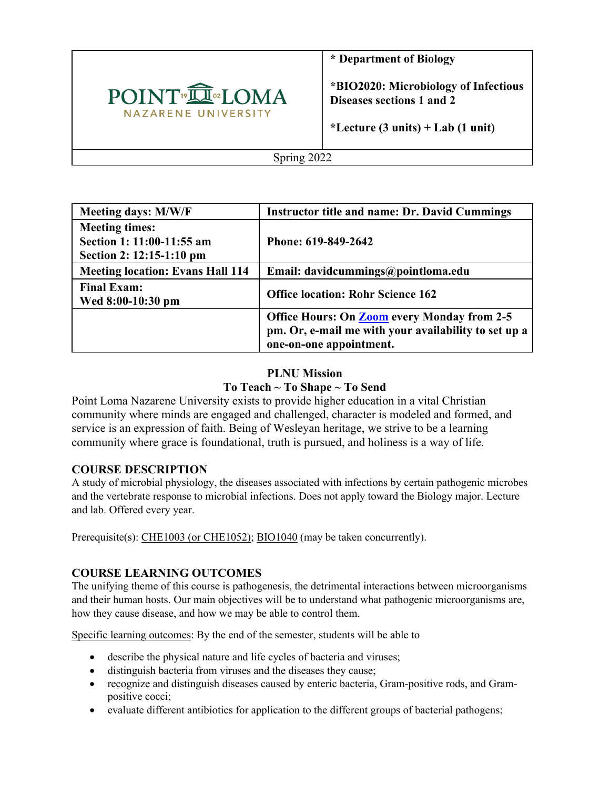

**\* Department of Biology** 

**\*BIO2020: Microbiology of Infectious Diseases sections 1 and 2**

**\*Lecture (3 units) + Lab (1 unit)**

Spring 2022

| Meeting days: M/W/F                                                            | <b>Instructor title and name: Dr. David Cummings</b>                                                                                  |  |  |
|--------------------------------------------------------------------------------|---------------------------------------------------------------------------------------------------------------------------------------|--|--|
| <b>Meeting times:</b><br>Section 1: 11:00-11:55 am<br>Section 2: 12:15-1:10 pm | Phone: 619-849-2642                                                                                                                   |  |  |
| <b>Meeting location: Evans Hall 114</b>                                        | Email: davidcummings@pointloma.edu                                                                                                    |  |  |
| <b>Final Exam:</b><br>Wed 8:00-10:30 pm                                        | <b>Office location: Rohr Science 162</b>                                                                                              |  |  |
|                                                                                | <b>Office Hours: On Zoom every Monday from 2-5</b><br>pm. Or, e-mail me with your availability to set up a<br>one-on-one appointment. |  |  |

## **PLNU Mission To Teach ~ To Shape ~ To Send**

Point Loma Nazarene University exists to provide higher education in a vital Christian community where minds are engaged and challenged, character is modeled and formed, and service is an expression of faith. Being of Wesleyan heritage, we strive to be a learning community where grace is foundational, truth is pursued, and holiness is a way of life.

## **COURSE DESCRIPTION**

A study of microbial physiology, the diseases associated with infections by certain pathogenic microbes and the vertebrate response to microbial infections. Does not apply toward the Biology major. Lecture and lab. Offered every year.

Prerequisite(s): CHE1003 (or CHE1052); BIO1040 (may be taken concurrently).

## **COURSE LEARNING OUTCOMES**

The unifying theme of this course is pathogenesis, the detrimental interactions between microorganisms and their human hosts. Our main objectives will be to understand what pathogenic microorganisms are, how they cause disease, and how we may be able to control them.

Specific learning outcomes: By the end of the semester, students will be able to

- describe the physical nature and life cycles of bacteria and viruses;
- distinguish bacteria from viruses and the diseases they cause;
- recognize and distinguish diseases caused by enteric bacteria, Gram-positive rods, and Grampositive cocci;
- evaluate different antibiotics for application to the different groups of bacterial pathogens;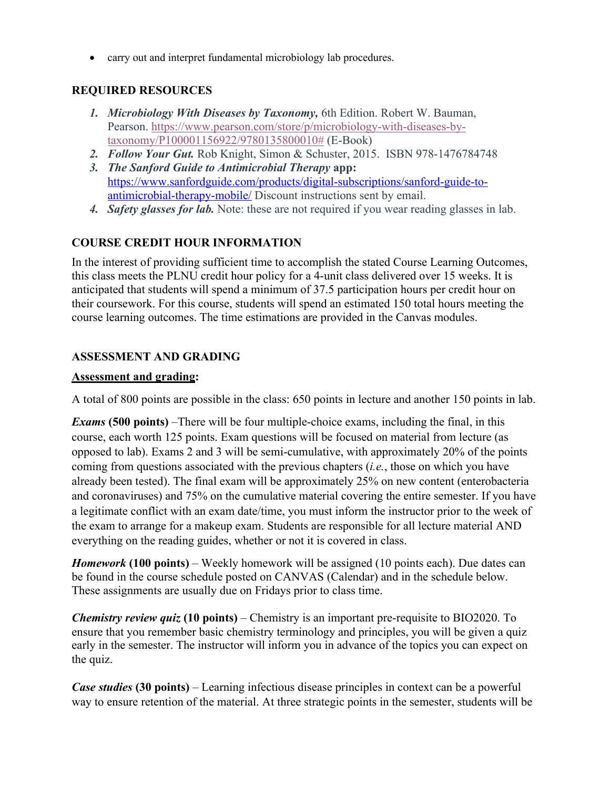• carry out and interpret fundamental microbiology lab procedures.

## **REQUIRED RESOURCES**

- *1. Microbiology With Diseases by Taxonomy,* 6th Edition. Robert W. Bauman, Pearson. https://www.pearson.com/store/p/microbiology-with-diseases-bytaxonomy/P100001156922/9780135800010# (E-Book)
- *2. Follow Your Gut.* Rob Knight, Simon & Schuster, 2015. ISBN 978-1476784748
- *3. The Sanford Guide to Antimicrobial Therapy* **app:** https://www.sanfordguide.com/products/digital-subscriptions/sanford-guide-toantimicrobial-therapy-mobile/ Discount instructions sent by email.
- *4. Safety glasses for lab.* Note: these are not required if you wear reading glasses in lab.

## **COURSE CREDIT HOUR INFORMATION**

In the interest of providing sufficient time to accomplish the stated Course Learning Outcomes, this class meets the PLNU credit hour policy for a 4-unit class delivered over 15 weeks. It is anticipated that students will spend a minimum of 37.5 participation hours per credit hour on their coursework. For this course, students will spend an estimated 150 total hours meeting the course learning outcomes. The time estimations are provided in the Canvas modules.

## **ASSESSMENT AND GRADING**

#### **Assessment and grading:**

A total of 800 points are possible in the class: 650 points in lecture and another 150 points in lab.

*Exams* **(500 points)** –There will be four multiple-choice exams, including the final, in this course, each worth 125 points. Exam questions will be focused on material from lecture (as opposed to lab). Exams 2 and 3 will be semi-cumulative, with approximately 20% of the points coming from questions associated with the previous chapters (*i.e.*, those on which you have already been tested). The final exam will be approximately 25% on new content (enterobacteria and coronaviruses) and 75% on the cumulative material covering the entire semester. If you have a legitimate conflict with an exam date/time, you must inform the instructor prior to the week of the exam to arrange for a makeup exam. Students are responsible for all lecture material AND everything on the reading guides, whether or not it is covered in class.

*Homework* **(100 points)** – Weekly homework will be assigned (10 points each). Due dates can be found in the course schedule posted on CANVAS (Calendar) and in the schedule below. These assignments are usually due on Fridays prior to class time.

*Chemistry review quiz* **(10 points)** – Chemistry is an important pre-requisite to BIO2020. To ensure that you remember basic chemistry terminology and principles, you will be given a quiz early in the semester. The instructor will inform you in advance of the topics you can expect on the quiz.

*Case studies* **(30 points)** – Learning infectious disease principles in context can be a powerful way to ensure retention of the material. At three strategic points in the semester, students will be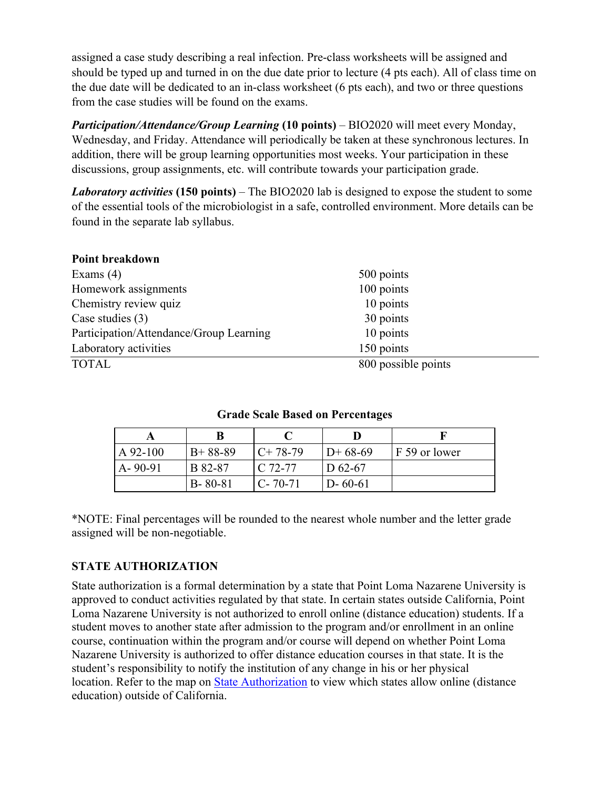assigned a case study describing a real infection. Pre-class worksheets will be assigned and should be typed up and turned in on the due date prior to lecture (4 pts each). All of class time on the due date will be dedicated to an in-class worksheet (6 pts each), and two or three questions from the case studies will be found on the exams.

*Participation/Attendance/Group Learning* **(10 points)** – BIO2020 will meet every Monday, Wednesday, and Friday. Attendance will periodically be taken at these synchronous lectures. In addition, there will be group learning opportunities most weeks. Your participation in these discussions, group assignments, etc. will contribute towards your participation grade.

*Laboratory activities* **(150 points)** – The BIO2020 lab is designed to expose the student to some of the essential tools of the microbiologist in a safe, controlled environment. More details can be found in the separate lab syllabus.

| Point breakdown                         |                     |  |
|-----------------------------------------|---------------------|--|
| Exams $(4)$                             | 500 points          |  |
| Homework assignments                    | 100 points          |  |
| Chemistry review quiz                   | 10 points           |  |
| Case studies $(3)$                      | 30 points           |  |
| Participation/Attendance/Group Learning | 10 points           |  |
| Laboratory activities                   | 150 points          |  |
| <b>TOTAL</b>                            | 800 possible points |  |

#### **Grade Scale Based on Percentages**

| $A$ 92-100    | $B+88-89$     | $C+78-79$     | $D+68-69$     | F 59 or lower |
|---------------|---------------|---------------|---------------|---------------|
| $A - 90 - 91$ | B 82-87       | $C$ 72-77     | D $62-67$     |               |
|               | $B - 80 - 81$ | $C - 70 - 71$ | $D - 60 - 61$ |               |

\*NOTE: Final percentages will be rounded to the nearest whole number and the letter grade assigned will be non-negotiable.

## **STATE AUTHORIZATION**

State authorization is a formal determination by a state that Point Loma Nazarene University is approved to conduct activities regulated by that state. In certain states outside California, Point Loma Nazarene University is not authorized to enroll online (distance education) students. If a student moves to another state after admission to the program and/or enrollment in an online course, continuation within the program and/or course will depend on whether Point Loma Nazarene University is authorized to offer distance education courses in that state. It is the student's responsibility to notify the institution of any change in his or her physical location. Refer to the map on State Authorization to view which states allow online (distance education) outside of California.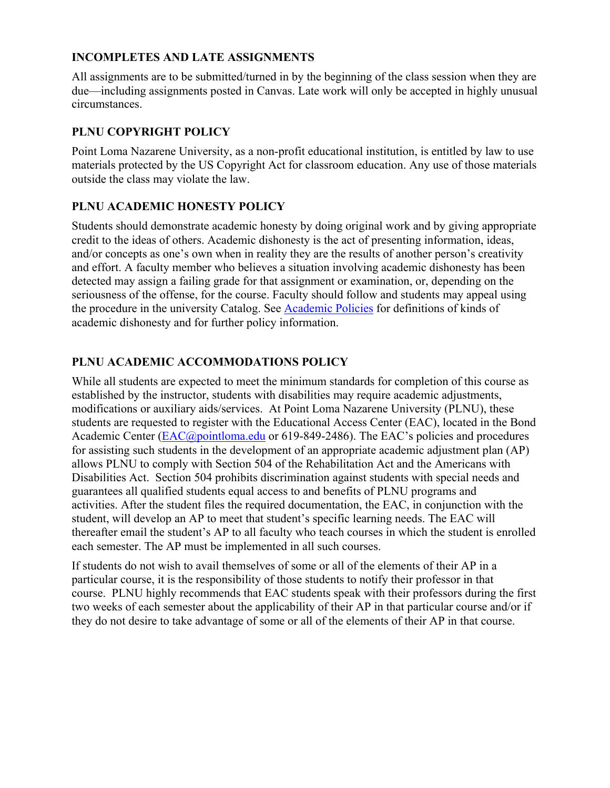## **INCOMPLETES AND LATE ASSIGNMENTS**

All assignments are to be submitted/turned in by the beginning of the class session when they are due—including assignments posted in Canvas. Late work will only be accepted in highly unusual circumstances.

## **PLNU COPYRIGHT POLICY**

Point Loma Nazarene University, as a non-profit educational institution, is entitled by law to use materials protected by the US Copyright Act for classroom education. Any use of those materials outside the class may violate the law.

## **PLNU ACADEMIC HONESTY POLICY**

Students should demonstrate academic honesty by doing original work and by giving appropriate credit to the ideas of others. Academic dishonesty is the act of presenting information, ideas, and/or concepts as one's own when in reality they are the results of another person's creativity and effort. A faculty member who believes a situation involving academic dishonesty has been detected may assign a failing grade for that assignment or examination, or, depending on the seriousness of the offense, for the course. Faculty should follow and students may appeal using the procedure in the university Catalog. See Academic Policies for definitions of kinds of academic dishonesty and for further policy information.

## **PLNU ACADEMIC ACCOMMODATIONS POLICY**

While all students are expected to meet the minimum standards for completion of this course as established by the instructor, students with disabilities may require academic adjustments, modifications or auxiliary aids/services. At Point Loma Nazarene University (PLNU), these students are requested to register with the Educational Access Center (EAC), located in the Bond Academic Center (EAC@pointloma.edu or 619-849-2486). The EAC's policies and procedures for assisting such students in the development of an appropriate academic adjustment plan (AP) allows PLNU to comply with Section 504 of the Rehabilitation Act and the Americans with Disabilities Act. Section 504 prohibits discrimination against students with special needs and guarantees all qualified students equal access to and benefits of PLNU programs and activities. After the student files the required documentation, the EAC, in conjunction with the student, will develop an AP to meet that student's specific learning needs. The EAC will thereafter email the student's AP to all faculty who teach courses in which the student is enrolled each semester. The AP must be implemented in all such courses.

If students do not wish to avail themselves of some or all of the elements of their AP in a particular course, it is the responsibility of those students to notify their professor in that course. PLNU highly recommends that EAC students speak with their professors during the first two weeks of each semester about the applicability of their AP in that particular course and/or if they do not desire to take advantage of some or all of the elements of their AP in that course.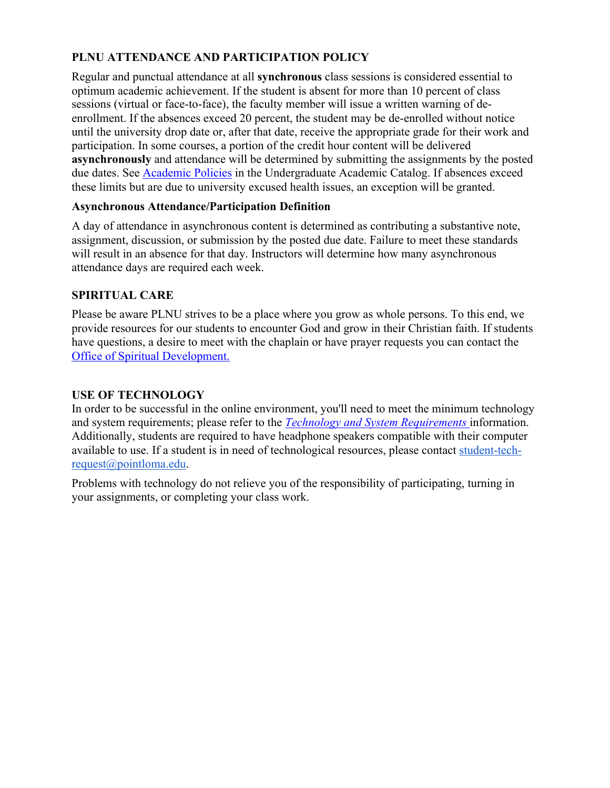# **PLNU ATTENDANCE AND PARTICIPATION POLICY**

Regular and punctual attendance at all **synchronous** class sessions is considered essential to optimum academic achievement. If the student is absent for more than 10 percent of class sessions (virtual or face-to-face), the faculty member will issue a written warning of deenrollment. If the absences exceed 20 percent, the student may be de-enrolled without notice until the university drop date or, after that date, receive the appropriate grade for their work and participation. In some courses, a portion of the credit hour content will be delivered **asynchronously** and attendance will be determined by submitting the assignments by the posted due dates. See Academic Policies in the Undergraduate Academic Catalog. If absences exceed these limits but are due to university excused health issues, an exception will be granted.

#### **Asynchronous Attendance/Participation Definition**

A day of attendance in asynchronous content is determined as contributing a substantive note, assignment, discussion, or submission by the posted due date. Failure to meet these standards will result in an absence for that day. Instructors will determine how many asynchronous attendance days are required each week.

## **SPIRITUAL CARE**

Please be aware PLNU strives to be a place where you grow as whole persons. To this end, we provide resources for our students to encounter God and grow in their Christian faith. If students have questions, a desire to meet with the chaplain or have prayer requests you can contact the Office of Spiritual Development.

#### **USE OF TECHNOLOGY**

In order to be successful in the online environment, you'll need to meet the minimum technology and system requirements; please refer to the *Technology and System Requirements* information. Additionally, students are required to have headphone speakers compatible with their computer available to use. If a student is in need of technological resources, please contact student-techrequest@pointloma.edu.

Problems with technology do not relieve you of the responsibility of participating, turning in your assignments, or completing your class work.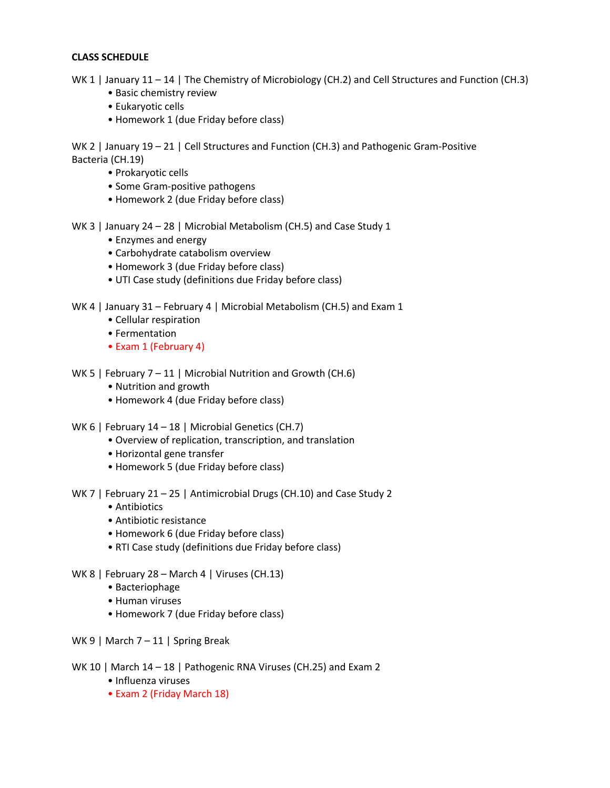#### **CLASS SCHEDULE**

WK 1 | January 11 – 14 | The Chemistry of Microbiology (CH.2) and Cell Structures and Function (CH.3)

- Basic chemistry review
- Eukaryotic cells
- Homework 1 (due Friday before class)

WK 2 | January 19 - 21 | Cell Structures and Function (CH.3) and Pathogenic Gram-Positive Bacteria (CH.19)

- Prokaryotic cells
- Some Gram-positive pathogens
- Homework 2 (due Friday before class)

WK 3 | January 24 – 28 | Microbial Metabolism (CH.5) and Case Study 1

- Enzymes and energy
- Carbohydrate catabolism overview
- Homework 3 (due Friday before class)
- UTI Case study (definitions due Friday before class)

WK 4 | January 31 – February 4 | Microbial Metabolism (CH.5) and Exam 1

- Cellular respiration
- Fermentation
- Exam 1 (February 4)
- WK 5 | February 7 11 | Microbial Nutrition and Growth (CH.6)
	- Nutrition and growth
	- Homework 4 (due Friday before class)
- WK 6 | February 14 18 | Microbial Genetics (CH.7)
	- Overview of replication, transcription, and translation
	- Horizontal gene transfer
	- Homework 5 (due Friday before class)
- WK 7 | February 21 25 | Antimicrobial Drugs (CH.10) and Case Study 2
	- Antibiotics
	- Antibiotic resistance
	- Homework 6 (due Friday before class)
	- RTI Case study (definitions due Friday before class)
- WK 8 | February 28 March 4 | Viruses (CH.13)
	- Bacteriophage
	- Human viruses
	- Homework 7 (due Friday before class)
- WK 9 | March 7 11 | Spring Break
- WK 10 | March 14 18 | Pathogenic RNA Viruses (CH.25) and Exam 2
	- Influenza viruses
	- Exam 2 (Friday March 18)